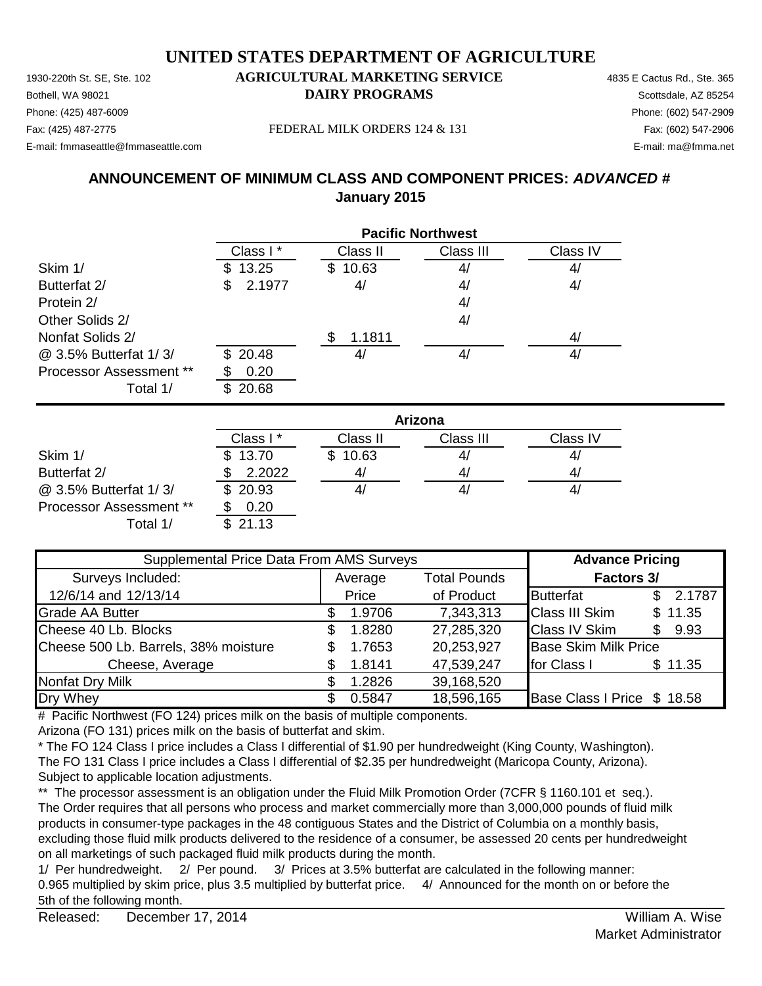1930-220th St. SE, Ste. 102 **AGRICULTURAL MARKETING SERVICE** 4835 E Cactus Rd., Ste. 365 Phone: (425) 487-6009 Phone: (602) 547-2909 E-mail: fmmaseattle@fmmaseattle.com E-mail: ma@fmma.net

# **Bothell, WA 98021 DAIRY PROGRAMS** Scottsdale, AZ 85254

Fax: (425) 487-2775 Fax: (602) 547-2906 FEDERAL MILK ORDERS 124 & 131

#### **ANNOUNCEMENT OF MINIMUM CLASS AND COMPONENT PRICES:** *ADVANCED #* **January 2015**

|                                | <b>Pacific Northwest</b> |          |           |          |
|--------------------------------|--------------------------|----------|-----------|----------|
|                                | Class I *                | Class II | Class III | Class IV |
| Skim 1/                        | 13.25<br>S.              | \$10.63  | 4/        | 4/       |
| Butterfat 2/                   | 2.1977<br>\$.            | 4/       | 4/        | 4/       |
| Protein 2/                     |                          |          | 4/        |          |
| Other Solids 2/                |                          |          | 4/        |          |
| Nonfat Solids 2/               |                          | 1.1811   |           | 4/       |
| @ 3.5% Butterfat 1/3/          | \$20.48                  | 41       | 4/        | 4/       |
| <b>Processor Assessment **</b> | 0.20                     |          |           |          |
| Total 1/                       | 20.68                    |          |           |          |

|                         | Arizona   |             |           |          |  |
|-------------------------|-----------|-------------|-----------|----------|--|
|                         | Class I * | Class II    | Class III | Class IV |  |
| Skim 1/                 | \$13.70   | 10.63<br>S. | 41        | 4/       |  |
| Butterfat 2/            | 2.2022    |             | 41        | 41       |  |
| @ 3.5% Butterfat 1/3/   | \$20.93   |             | 41        | 4/       |  |
| Processor Assessment ** | 0.20      |             |           |          |  |
| Total 1/                | \$21.13   |             |           |          |  |

| Supplemental Price Data From AMS Surveys |   |         |                     | <b>Advance Pricing</b>      |              |  |
|------------------------------------------|---|---------|---------------------|-----------------------------|--------------|--|
| Surveys Included:                        |   | Average | <b>Total Pounds</b> | Factors 3/                  |              |  |
| 12/6/14 and 12/13/14                     |   | Price   | of Product          | <b>Butterfat</b>            | 2.1787<br>\$ |  |
| <b>Grade AA Butter</b>                   |   | 1.9706  | 7,343,313           | <b>Class III Skim</b>       | \$11.35      |  |
| Cheese 40 Lb. Blocks                     | S | 1.8280  | 27,285,320          | <b>Class IV Skim</b>        | 9.93<br>\$.  |  |
| Cheese 500 Lb. Barrels, 38% moisture     | S | 1.7653  | 20,253,927          | <b>Base Skim Milk Price</b> |              |  |
| Cheese, Average                          |   | 1.8141  | 47,539,247          | for Class I                 | \$11.35      |  |
| Nonfat Dry Milk                          |   | 1.2826  | 39,168,520          |                             |              |  |
| Dry Whey                                 |   | 0.5847  | 18,596,165          | Base Class I Price \$ 18.58 |              |  |

# Pacific Northwest (FO 124) prices milk on the basis of multiple components.

Arizona (FO 131) prices milk on the basis of butterfat and skim.

\* The FO 124 Class I price includes a Class I differential of \$1.90 per hundredweight (King County, Washington). The FO 131 Class I price includes a Class I differential of \$2.35 per hundredweight (Maricopa County, Arizona). Subject to applicable location adjustments.

\*\* The processor assessment is an obligation under the Fluid Milk Promotion Order (7CFR § 1160.101 et seq.). The Order requires that all persons who process and market commercially more than 3,000,000 pounds of fluid milk products in consumer-type packages in the 48 contiguous States and the District of Columbia on a monthly basis, excluding those fluid milk products delivered to the residence of a consumer, be assessed 20 cents per hundredweight on all marketings of such packaged fluid milk products during the month.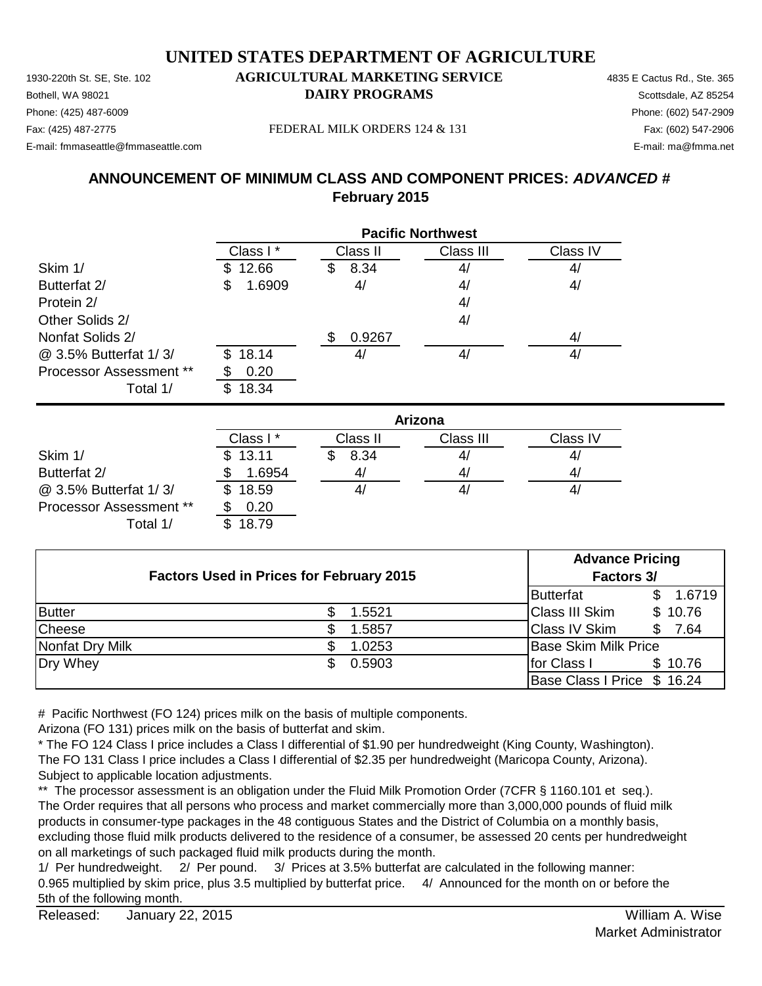1930-220th St. SE, Ste. 102 **AGRICULTURAL MARKETING SERVICE** 4835 E Cactus Rd., Ste. 365 Phone: (425) 487-6009 Phone: (602) 547-2909 E-mail: fmmaseattle@fmmaseattle.com E-mail: ma@fmma.net

# **Bothell, WA 98021 DAIRY PROGRAMS** Scottsdale, AZ 85254

Fax: (425) 487-2775 Fax: (602) 547-2906 FEDERAL MILK ORDERS 124 & 131

#### **ANNOUNCEMENT OF MINIMUM CLASS AND COMPONENT PRICES:** *ADVANCED #* **February 2015**

|                                | <b>Pacific Northwest</b> |           |           |          |
|--------------------------------|--------------------------|-----------|-----------|----------|
|                                | Class I *                | Class II  | Class III | Class IV |
| Skim 1/                        | 12.66<br>S.              | 8.34<br>S | 4/        | 4/       |
| Butterfat 2/                   | 1.6909<br>\$             | 4/        | 4/        | 4/       |
| Protein 2/                     |                          |           | 4/        |          |
| Other Solids 2/                |                          |           | 4/        |          |
| Nonfat Solids 2/               |                          | 0.9267    |           | 4/       |
| @ 3.5% Butterfat 1/3/          | 18.14<br>\$.             | 4/        | 41        | 4/       |
| <b>Processor Assessment **</b> | 0.20                     |           |           |          |
| Total 1/                       | 18.34                    |           |           |          |

|                                | Arizona  |          |           |          |  |
|--------------------------------|----------|----------|-----------|----------|--|
|                                | Class I* | Class II | Class III | Class IV |  |
| Skim 1/                        | \$13.11  | 8.34     | 41        | 41       |  |
| Butterfat 2/                   | 1.6954   | 41       | 41        | 41       |  |
| @ 3.5% Butterfat 1/3/          | \$18.59  |          | 41        | 4        |  |
| <b>Processor Assessment **</b> | 0.20     |          |           |          |  |
| Total 1/                       | 18.79    |          |           |          |  |

|                                                 |  |  |            | <b>Advance Pricing</b>      |  |         |  |
|-------------------------------------------------|--|--|------------|-----------------------------|--|---------|--|
| <b>Factors Used in Prices for February 2015</b> |  |  | Factors 3/ |                             |  |         |  |
|                                                 |  |  |            | Butterfat                   |  | 1.6719  |  |
| <b>Butter</b>                                   |  |  | 1.5521     | <b>Class III Skim</b>       |  | \$10.76 |  |
| <b>Cheese</b>                                   |  |  | 1.5857     | <b>Class IV Skim</b>        |  | 7.64    |  |
| Nonfat Dry Milk                                 |  |  | 1.0253     | <b>Base Skim Milk Price</b> |  |         |  |
| Dry Whey                                        |  |  | 0.5903     | for Class I                 |  | \$10.76 |  |
|                                                 |  |  |            | Base Class I Price \$ 16.24 |  |         |  |

# Pacific Northwest (FO 124) prices milk on the basis of multiple components.

Arizona (FO 131) prices milk on the basis of butterfat and skim.

\* The FO 124 Class I price includes a Class I differential of \$1.90 per hundredweight (King County, Washington). The FO 131 Class I price includes a Class I differential of \$2.35 per hundredweight (Maricopa County, Arizona). Subject to applicable location adjustments.

\*\* The processor assessment is an obligation under the Fluid Milk Promotion Order (7CFR § 1160.101 et seq.). The Order requires that all persons who process and market commercially more than 3,000,000 pounds of fluid milk products in consumer-type packages in the 48 contiguous States and the District of Columbia on a monthly basis, excluding those fluid milk products delivered to the residence of a consumer, be assessed 20 cents per hundredweight on all marketings of such packaged fluid milk products during the month.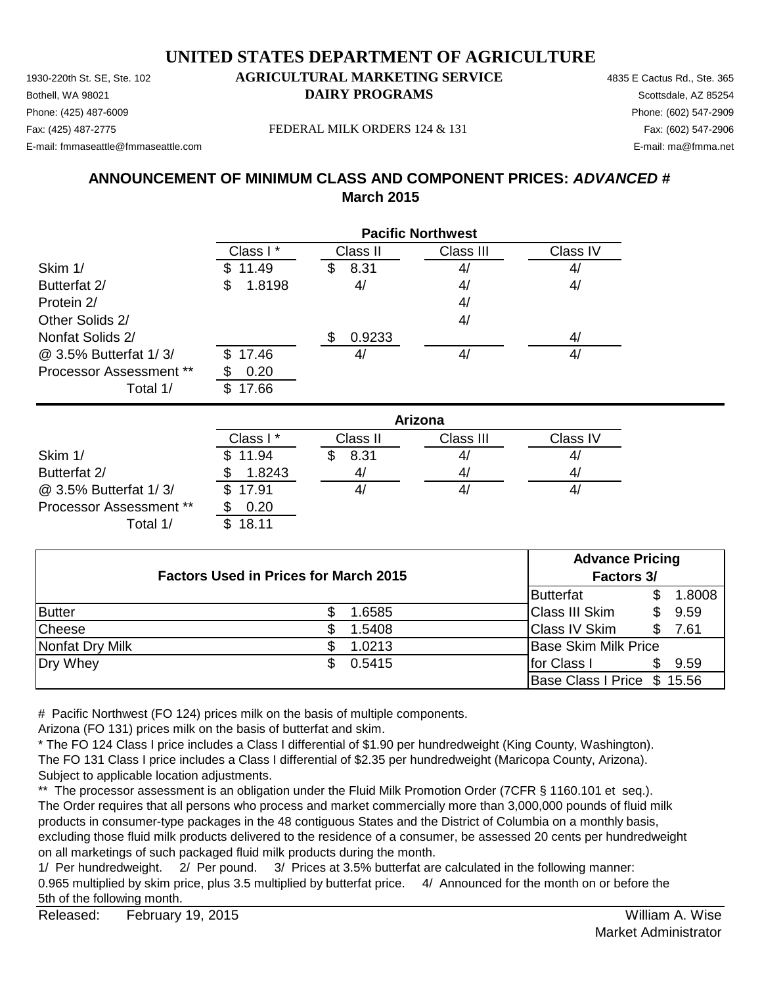1930-220th St. SE, Ste. 102 **AGRICULTURAL MARKETING SERVICE** 4835 E Cactus Rd., Ste. 365 Phone: (425) 487-6009 Phone: (602) 547-2909 E-mail: fmmaseattle@fmmaseattle.com E-mail: ma@fmma.net

# **Bothell, WA 98021 DAIRY PROGRAMS** Scottsdale, AZ 85254

Fax: (425) 487-2775 Fax: (602) 547-2906 FEDERAL MILK ORDERS 124 & 131

**ANNOUNCEMENT OF MINIMUM CLASS AND COMPONENT PRICES:** *ADVANCED #* **March 2015**

|                         | <b>Pacific Northwest</b> |               |           |          |  |
|-------------------------|--------------------------|---------------|-----------|----------|--|
|                         | Class I*                 | Class II      | Class III | Class IV |  |
| Skim 1/                 | 11.49<br>S.              | 8.31<br>S     | 4/        | 4/       |  |
| Butterfat 2/            | 1.8198<br>S              | 4/            | 4/        | 4/       |  |
| Protein 2/              |                          |               | 4/        |          |  |
| Other Solids 2/         |                          |               | 4/        |          |  |
| Nonfat Solids 2/        |                          | 0.9233<br>\$. |           | 4/       |  |
| @ 3.5% Butterfat 1/3/   | \$17.46                  | 4,            | 4/        | 4/       |  |
| Processor Assessment ** | 0.20                     |               |           |          |  |
| Total 1/                | 17.66                    |               |           |          |  |

|                                | Arizona  |          |           |          |  |
|--------------------------------|----------|----------|-----------|----------|--|
|                                | Class I* | Class II | Class III | Class IV |  |
| Skim 1/                        | \$11.94  | 8.31     | 4/        | 41       |  |
| Butterfat 2/                   | 1.8243   | 4/       | 41        | 41       |  |
| @ 3.5% Butterfat 1/3/          | \$17.91  |          | 4,        | 4,       |  |
| <b>Processor Assessment **</b> | 0.20     |          |           |          |  |
| Total 1/                       | 18.11    |          |           |          |  |

| <b>Factors Used in Prices for March 2015</b> |  |        | <b>Advance Pricing</b><br>Factors 3/ |                             |    |        |
|----------------------------------------------|--|--------|--------------------------------------|-----------------------------|----|--------|
|                                              |  |        |                                      | Butterfat                   |    | 1.8008 |
| <b>Butter</b>                                |  | .6585  |                                      | Class III Skim              | S. | 9.59   |
| <b>Cheese</b>                                |  | .5408  |                                      | <b>Class IV Skim</b>        | \$ | 7.61   |
| Nonfat Dry Milk                              |  | 1.0213 |                                      | <b>Base Skim Milk Price</b> |    |        |
| Dry Whey                                     |  | 0.5415 |                                      | for Class I                 | S. | 9.59   |
|                                              |  |        |                                      | Base Class I Price \$ 15.56 |    |        |

# Pacific Northwest (FO 124) prices milk on the basis of multiple components.

Arizona (FO 131) prices milk on the basis of butterfat and skim.

\* The FO 124 Class I price includes a Class I differential of \$1.90 per hundredweight (King County, Washington). The FO 131 Class I price includes a Class I differential of \$2.35 per hundredweight (Maricopa County, Arizona). Subject to applicable location adjustments.

\*\* The processor assessment is an obligation under the Fluid Milk Promotion Order (7CFR § 1160.101 et seq.). The Order requires that all persons who process and market commercially more than 3,000,000 pounds of fluid milk products in consumer-type packages in the 48 contiguous States and the District of Columbia on a monthly basis, excluding those fluid milk products delivered to the residence of a consumer, be assessed 20 cents per hundredweight on all marketings of such packaged fluid milk products during the month.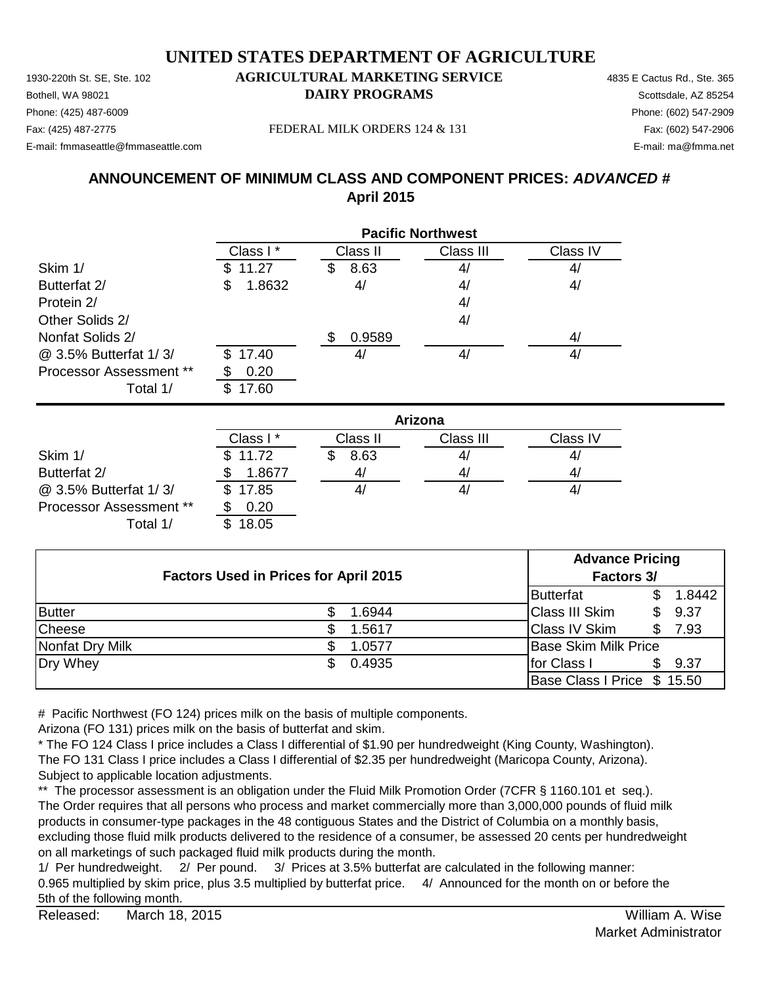1930-220th St. SE, Ste. 102 **AGRICULTURAL MARKETING SERVICE** 4835 E Cactus Rd., Ste. 365 Phone: (425) 487-6009 Phone: (602) 547-2909 E-mail: fmmaseattle@fmmaseattle.com E-mail: ma@fmma.net

# **Bothell, WA 98021 DAIRY PROGRAMS** Scottsdale, AZ 85254

Fax: (425) 487-2775 Fax: (602) 547-2906 FEDERAL MILK ORDERS 124 & 131

**ANNOUNCEMENT OF MINIMUM CLASS AND COMPONENT PRICES:** *ADVANCED #* **April 2015**

|                         | <b>Pacific Northwest</b> |            |           |          |
|-------------------------|--------------------------|------------|-----------|----------|
|                         | Class I*                 | Class II   | Class III | Class IV |
| Skim 1/                 | 11.27                    | 8.63<br>\$ | 4/        | 4/       |
| Butterfat 2/            | 1.8632<br>S              | 4/         | 4/        | 4/       |
| Protein 2/              |                          |            | 4/        |          |
| Other Solids 2/         |                          |            | 4/        |          |
| Nonfat Solids 2/        |                          | 0.9589     |           | 4/       |
| @ 3.5% Butterfat 1/3/   | 17.40<br>\$.             | 4,         | 4/        | 4/       |
| Processor Assessment ** | 0.20                     |            |           |          |
| Total 1/                | 17.60                    |            |           |          |

|                         | Arizona  |          |           |          |  |
|-------------------------|----------|----------|-----------|----------|--|
|                         | Class I* | Class II | Class III | Class IV |  |
| Skim 1/                 | \$11.72  | 8.63     | 41        | 41       |  |
| Butterfat 2/            | 1.8677   | 4/       | 41        | 41       |  |
| @ 3.5% Butterfat 1/3/   | \$17.85  | 4,       | 4,        | 41       |  |
| Processor Assessment ** | 0.20     |          |           |          |  |
| Total 1/                | 18.05    |          |           |          |  |

| <b>Factors Used in Prices for April 2015</b> |  |        |                             | <b>Advance Pricing</b>      |        |  |  |
|----------------------------------------------|--|--------|-----------------------------|-----------------------------|--------|--|--|
|                                              |  |        |                             | Factors 3/                  |        |  |  |
|                                              |  |        | Butterfat                   |                             | 1.8442 |  |  |
| <b>Butter</b>                                |  | 1.6944 | <b>Class III Skim</b>       | \$.                         | 9.37   |  |  |
| <b>Cheese</b>                                |  | 1.5617 | <b>Class IV Skim</b>        |                             | 7.93   |  |  |
| Nonfat Dry Milk                              |  | 1.0577 |                             | <b>Base Skim Milk Price</b> |        |  |  |
| Dry Whey                                     |  | 0.4935 | for Class I                 |                             | 9.37   |  |  |
|                                              |  |        | Base Class I Price \$ 15.50 |                             |        |  |  |

# Pacific Northwest (FO 124) prices milk on the basis of multiple components.

Arizona (FO 131) prices milk on the basis of butterfat and skim.

\* The FO 124 Class I price includes a Class I differential of \$1.90 per hundredweight (King County, Washington). The FO 131 Class I price includes a Class I differential of \$2.35 per hundredweight (Maricopa County, Arizona). Subject to applicable location adjustments.

\*\* The processor assessment is an obligation under the Fluid Milk Promotion Order (7CFR § 1160.101 et seq.). The Order requires that all persons who process and market commercially more than 3,000,000 pounds of fluid milk products in consumer-type packages in the 48 contiguous States and the District of Columbia on a monthly basis, excluding those fluid milk products delivered to the residence of a consumer, be assessed 20 cents per hundredweight on all marketings of such packaged fluid milk products during the month.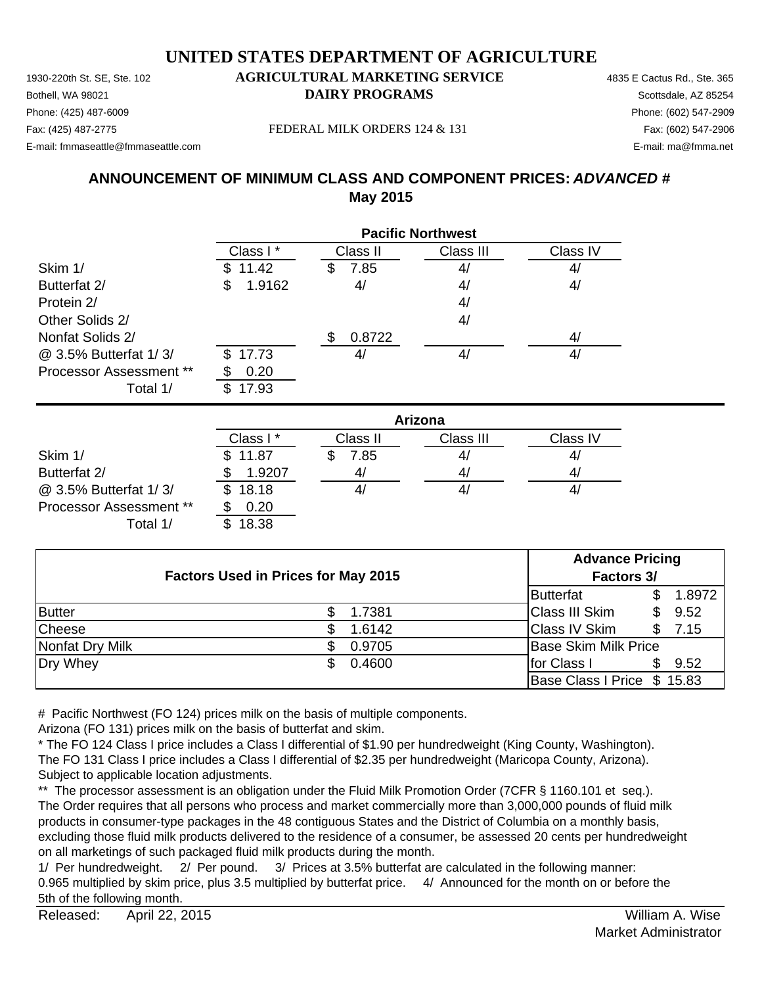1930-220th St. SE, Ste. 102 **AGRICULTURAL MARKETING SERVICE** 4835 E Cactus Rd., Ste. 365 **Bothell, WA 98021 DAIRY PROGRAMS** Scottsdale, AZ 85254 E-mail: fmmaseattle@fmmaseattle.com E-mail: ma@fmma.net

### Phone: (425) 487-6009 Phone: (602) 547-2909

Fax: (425) 487-2775 Fax: (602) 547-2906 FEDERAL MILK ORDERS 124 & 131

**ANNOUNCEMENT OF MINIMUM CLASS AND COMPONENT PRICES:** *ADVANCED #* **May 2015**

|                                |              | <b>Pacific Northwest</b> |           |          |  |
|--------------------------------|--------------|--------------------------|-----------|----------|--|
|                                | Class I*     | Class II                 | Class III | Class IV |  |
| Skim 1/                        | 11.42        | 7.85<br>S                | 4/        | 4/       |  |
| Butterfat 2/                   | 1.9162<br>\$ | 4/                       | 4/        | 4/       |  |
| Protein 2/                     |              |                          | 4/        |          |  |
| Other Solids 2/                |              |                          | 4/        |          |  |
| Nonfat Solids 2/               |              | 0.8722<br>S              |           | 4/       |  |
| @ 3.5% Butterfat 1/3/          | \$17.73      | 4 <sub>l</sub>           | 4/        | 4/       |  |
| <b>Processor Assessment **</b> | 0.20         |                          |           |          |  |
| Total 1/                       | 17.93<br>\$. |                          |           |          |  |

|                                |          | Arizona        |           |          |  |
|--------------------------------|----------|----------------|-----------|----------|--|
|                                | Class I* | Class II       | Class III | Class IV |  |
| Skim 1/                        | \$11.87  | 7.85           | 41        | 41       |  |
| Butterfat 2/                   | 1.9207   | 4 <sub>l</sub> | 4/        | 4/       |  |
| @ 3.5% Butterfat 1/3/          | \$18.18  | 4,             | 4,        | 41       |  |
| <b>Processor Assessment **</b> | 0.20     |                |           |          |  |
| Total 1/                       | 18.38    |                |           |          |  |

| <b>Factors Used in Prices for May 2015</b> |        | <b>Advance Pricing</b><br>Factors 3/ |             |  |
|--------------------------------------------|--------|--------------------------------------|-------------|--|
|                                            |        | Butterfat                            | 1.8972      |  |
| <b>Butter</b>                              | 1.7381 | <b>Class III Skim</b>                | 9.52<br>\$. |  |
| Cheese                                     | 1.6142 | <b>Class IV Skim</b>                 | 7.15        |  |
| Nonfat Dry Milk                            | 0.9705 | <b>Base Skim Milk Price</b>          |             |  |
| Dry Whey                                   | 0.4600 | for Class I                          | 9.52        |  |
|                                            |        | Base Class I Price \$ 15.83          |             |  |

# Pacific Northwest (FO 124) prices milk on the basis of multiple components.

Arizona (FO 131) prices milk on the basis of butterfat and skim.

\* The FO 124 Class I price includes a Class I differential of \$1.90 per hundredweight (King County, Washington). The FO 131 Class I price includes a Class I differential of \$2.35 per hundredweight (Maricopa County, Arizona). Subject to applicable location adjustments.

\*\* The processor assessment is an obligation under the Fluid Milk Promotion Order (7CFR § 1160.101 et seq.). The Order requires that all persons who process and market commercially more than 3,000,000 pounds of fluid milk products in consumer-type packages in the 48 contiguous States and the District of Columbia on a monthly basis, excluding those fluid milk products delivered to the residence of a consumer, be assessed 20 cents per hundredweight on all marketings of such packaged fluid milk products during the month.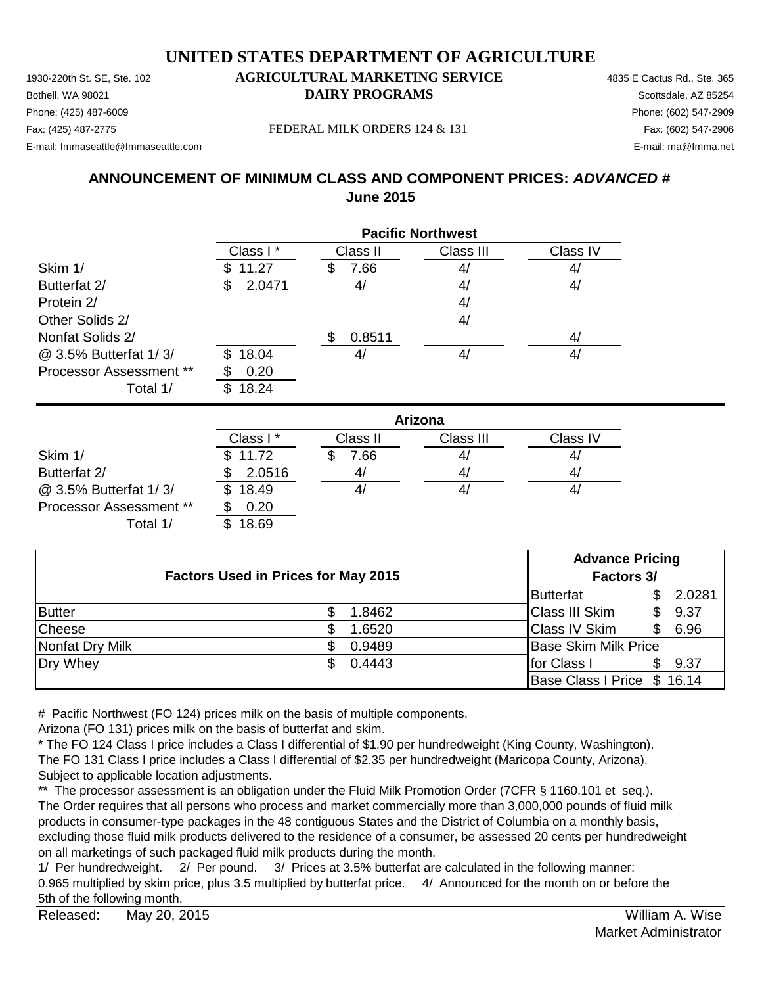1930-220th St. SE, Ste. 102 **AGRICULTURAL MARKETING SERVICE** 4835 E Cactus Rd., Ste. 365 **Bothell, WA 98021 DAIRY PROGRAMS** Scottsdale, AZ 85254 E-mail: fmmaseattle@fmmaseattle.com E-mail: ma@fmma.net

### Phone: (425) 487-6009 Phone: (602) 547-2909

Fax: (425) 487-2775 Fax: (602) 547-2906 FEDERAL MILK ORDERS 124 & 131

#### **ANNOUNCEMENT OF MINIMUM CLASS AND COMPONENT PRICES:** *ADVANCED #* **June 2015**

|                                |               | <b>Pacific Northwest</b> |           |          |  |
|--------------------------------|---------------|--------------------------|-----------|----------|--|
|                                | Class I *     | Class II                 | Class III | Class IV |  |
| Skim 1/                        | 11.27         | 7.66<br>Ъ                | 4/        | 4/       |  |
| Butterfat 2/                   | 2.0471<br>\$. | 4/                       | 4/        | 4/       |  |
| Protein 2/                     |               |                          | 4/        |          |  |
| Other Solids 2/                |               |                          | 4/        |          |  |
| Nonfat Solids 2/               |               | 0.8511                   |           | 4/       |  |
| @ 3.5% Butterfat 1/3/          | 18.04<br>\$.  | 4/                       | 41        | 4/       |  |
| <b>Processor Assessment **</b> | 0.20          |                          |           |          |  |
| Total 1/                       | 18.24<br>\$.  |                          |           |          |  |

|                                |          | Arizona  |           |          |  |
|--------------------------------|----------|----------|-----------|----------|--|
|                                | Class I* | Class II | Class III | Class IV |  |
| Skim 1/                        | \$11.72  | 7.66     | 41        | 41       |  |
| Butterfat 2/                   | 2.0516   | 41       | 41        | 41       |  |
| @ 3.5% Butterfat 1/3/          | \$18.49  |          | 41        | 41       |  |
| <b>Processor Assessment **</b> | 0.20     |          |           |          |  |
| Total 1/                       | 18.69    |          |           |          |  |

| <b>Factors Used in Prices for May 2015</b> |            | <b>Advance Pricing</b>      |             |  |
|--------------------------------------------|------------|-----------------------------|-------------|--|
|                                            | Factors 3/ |                             |             |  |
|                                            |            | Butterfat                   | 2.0281      |  |
| <b>Butter</b>                              | 1.8462     | <b>Class III Skim</b>       | 9.37<br>\$. |  |
| Cheese                                     | 1.6520     | <b>Class IV Skim</b>        | 6.96<br>S   |  |
| Nonfat Dry Milk                            | 0.9489     | <b>Base Skim Milk Price</b> |             |  |
| Dry Whey                                   | 0.4443     | for Class I                 | 9.37        |  |
|                                            |            | Base Class I Price \$ 16.14 |             |  |

# Pacific Northwest (FO 124) prices milk on the basis of multiple components.

Arizona (FO 131) prices milk on the basis of butterfat and skim.

\* The FO 124 Class I price includes a Class I differential of \$1.90 per hundredweight (King County, Washington). The FO 131 Class I price includes a Class I differential of \$2.35 per hundredweight (Maricopa County, Arizona). Subject to applicable location adjustments.

\*\* The processor assessment is an obligation under the Fluid Milk Promotion Order (7CFR § 1160.101 et seq.). The Order requires that all persons who process and market commercially more than 3,000,000 pounds of fluid milk products in consumer-type packages in the 48 contiguous States and the District of Columbia on a monthly basis, excluding those fluid milk products delivered to the residence of a consumer, be assessed 20 cents per hundredweight on all marketings of such packaged fluid milk products during the month.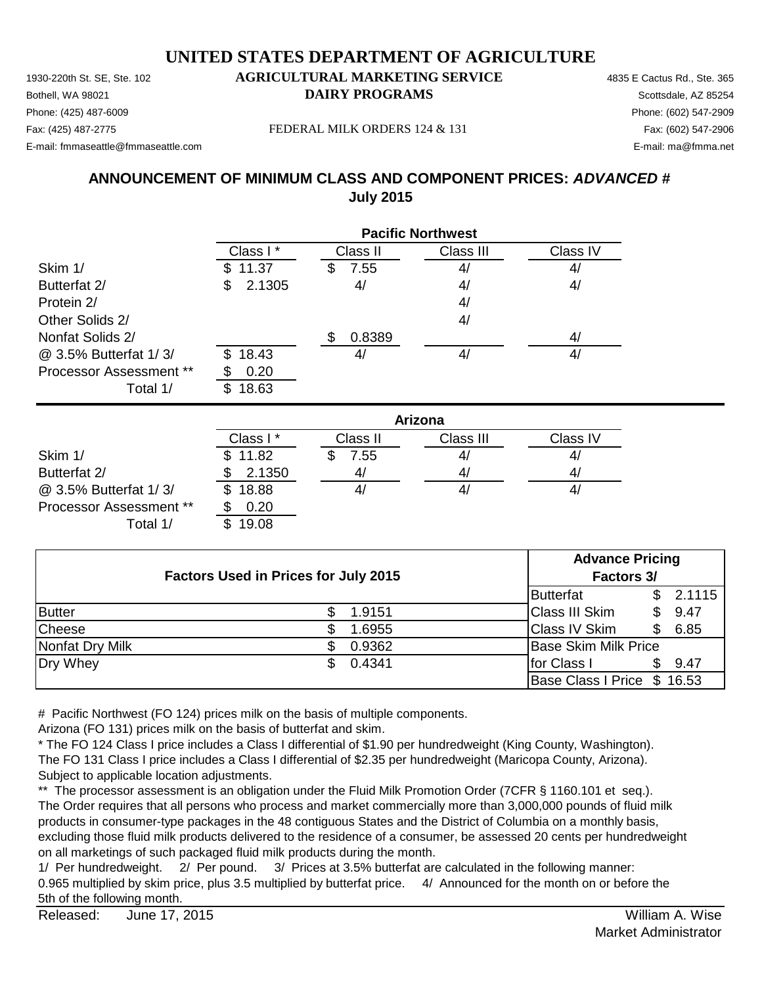1930-220th St. SE, Ste. 102 **AGRICULTURAL MARKETING SERVICE** 4835 E Cactus Rd., Ste. 365 **Bothell, WA 98021 DAIRY PROGRAMS** Scottsdale, AZ 85254 E-mail: fmmaseattle@fmmaseattle.com E-mail: ma@fmma.net

### Phone: (425) 487-6009 Phone: (602) 547-2909

Fax: (425) 487-2775 Fax: (602) 547-2906 FEDERAL MILK ORDERS 124 & 131

#### **ANNOUNCEMENT OF MINIMUM CLASS AND COMPONENT PRICES:** *ADVANCED #* **July 2015**

|                                |             |           | <b>Pacific Northwest</b> |          |
|--------------------------------|-------------|-----------|--------------------------|----------|
|                                | Class I *   | Class II  | Class III                | Class IV |
| Skim 1/                        | 11.37<br>S. | 7.55<br>3 | 4/                       | 4/       |
| Butterfat 2/                   | 2.1305<br>S | 4/        | 4/                       | 4/       |
| Protein 2/                     |             |           | 4/                       |          |
| Other Solids 2/                |             |           | 4/                       |          |
| Nonfat Solids 2/               |             | 0.8389    |                          | 4/       |
| @ 3.5% Butterfat 1/3/          | 18.43<br>S. | 4/        | 41                       | 4/       |
| <b>Processor Assessment **</b> | 0.20        |           |                          |          |
| Total 1/                       | 18.63       |           |                          |          |

|                                |          | Arizona        |           |          |  |
|--------------------------------|----------|----------------|-----------|----------|--|
|                                | Class I* | Class II       | Class III | Class IV |  |
| Skim 1/                        | \$11.82  | 7.55           | 4/        | 41       |  |
| Butterfat 2/                   | 2.1350   | 4 <sub>l</sub> | 4/        | 41       |  |
| @ 3.5% Butterfat 1/3/          | \$18.88  | 4/             | 41        | 4,       |  |
| <b>Processor Assessment **</b> | 0.20     |                |           |          |  |
| Total 1/                       | 19.08    |                |           |          |  |

| <b>Factors Used in Prices for July 2015</b> |  | <b>Advance Pricing</b> |                             |             |  |
|---------------------------------------------|--|------------------------|-----------------------------|-------------|--|
|                                             |  | Factors 3/             |                             |             |  |
|                                             |  |                        | Butterfat                   | 2.1115      |  |
| <b>Butter</b>                               |  | 1.9151                 | Class III Skim              | 9.47<br>\$. |  |
| Cheese                                      |  | 1.6955                 | <b>Class IV Skim</b>        | 6.85<br>\$. |  |
| Nonfat Dry Milk                             |  | 0.9362                 | <b>Base Skim Milk Price</b> |             |  |
| Dry Whey                                    |  | 0.4341                 | for Class I                 | 9.47        |  |
|                                             |  |                        | Base Class I Price \$ 16.53 |             |  |

# Pacific Northwest (FO 124) prices milk on the basis of multiple components.

Arizona (FO 131) prices milk on the basis of butterfat and skim.

\* The FO 124 Class I price includes a Class I differential of \$1.90 per hundredweight (King County, Washington). The FO 131 Class I price includes a Class I differential of \$2.35 per hundredweight (Maricopa County, Arizona). Subject to applicable location adjustments.

\*\* The processor assessment is an obligation under the Fluid Milk Promotion Order (7CFR § 1160.101 et seq.). The Order requires that all persons who process and market commercially more than 3,000,000 pounds of fluid milk products in consumer-type packages in the 48 contiguous States and the District of Columbia on a monthly basis, excluding those fluid milk products delivered to the residence of a consumer, be assessed 20 cents per hundredweight on all marketings of such packaged fluid milk products during the month.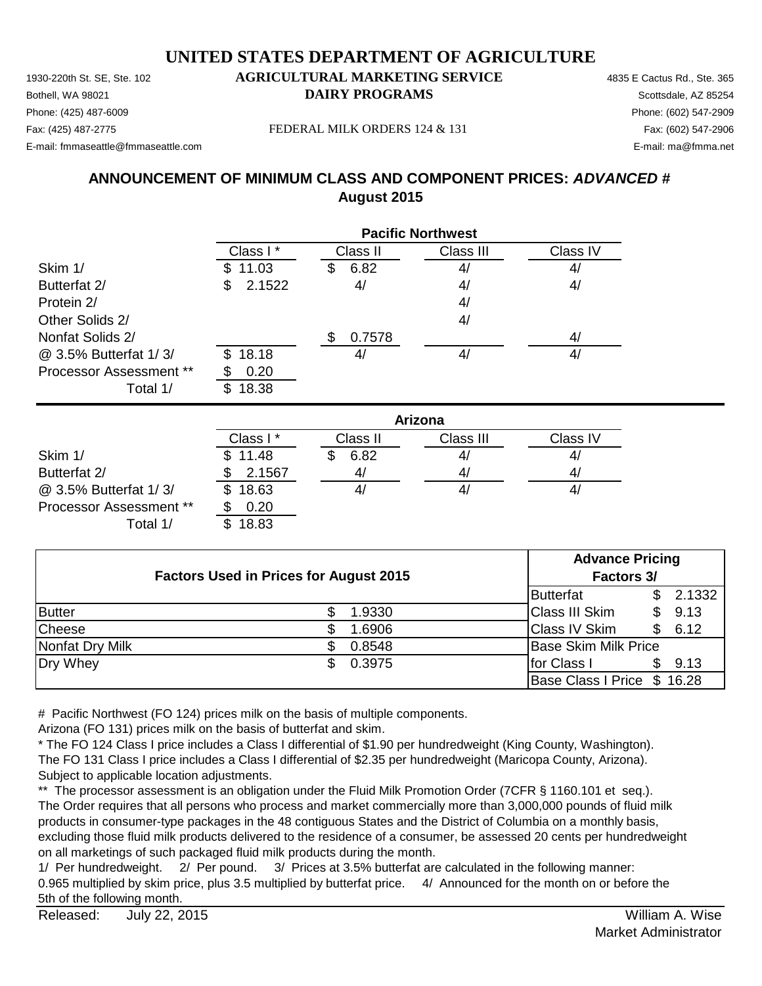1930-220th St. SE, Ste. 102 **AGRICULTURAL MARKETING SERVICE** 4835 E Cactus Rd., Ste. 365 Phone: (425) 487-6009 Phone: (602) 547-2909 E-mail: fmmaseattle@fmmaseattle.com E-mail: ma@fmma.net

# **Bothell, WA 98021 DAIRY PROGRAMS** Scottsdale, AZ 85254

Fax: (425) 487-2775 Fax: (602) 547-2906 FEDERAL MILK ORDERS 124 & 131

## **ANNOUNCEMENT OF MINIMUM CLASS AND COMPONENT PRICES:** *ADVANCED #* **August 2015**

|                                |              |           | <b>Pacific Northwest</b> |          |
|--------------------------------|--------------|-----------|--------------------------|----------|
|                                | Class I*     | Class II  | Class III                | Class IV |
| Skim 1/                        | 11.03        | 6.82<br>S | 4/                       | 4/       |
| Butterfat 2/                   | 2.1522<br>\$ | 4/        | 4/                       | 4/       |
| Protein 2/                     |              |           | 4/                       |          |
| Other Solids 2/                |              |           | 4/                       |          |
| Nonfat Solids 2/               |              | 0.7578    |                          | 4/       |
| @ 3.5% Butterfat 1/3/          | 18.18<br>\$. | 4/        | 4/                       | 4/       |
| <b>Processor Assessment **</b> | 0.20         |           |                          |          |
| Total 1/                       | 18.38<br>S   |           |                          |          |

|                                |             | Arizona  |           |          |  |
|--------------------------------|-------------|----------|-----------|----------|--|
|                                | Class I*    | Class II | Class III | Class IV |  |
| Skim 1/                        | \$11.48     | 6.82     | 41        | 41       |  |
| Butterfat 2/                   | 2.1567      | 41       | 41        | 41       |  |
| @ 3.5% Butterfat 1/3/          | 18.63<br>\$ |          | 41        | 4        |  |
| <b>Processor Assessment **</b> | 0.20        |          |           |          |  |
| Total 1/                       | 18.83       |          |           |          |  |

| <b>Factors Used in Prices for August 2015</b> |  | <b>Advance Pricing</b><br>Factors 3/ |  |                             |     |        |
|-----------------------------------------------|--|--------------------------------------|--|-----------------------------|-----|--------|
|                                               |  |                                      |  | Butterfat                   |     | 2.1332 |
| <b>Butter</b>                                 |  | 1.9330                               |  | <b>Class III Skim</b>       | S.  | 9.13   |
| <b>Cheese</b>                                 |  | 1.6906                               |  | <b>Class IV Skim</b>        | \$. | 6.12   |
| Nonfat Dry Milk                               |  | 0.8548                               |  | <b>Base Skim Milk Price</b> |     |        |
| Dry Whey                                      |  | 0.3975                               |  | for Class I                 |     | 9.13   |
|                                               |  |                                      |  | Base Class I Price \$ 16.28 |     |        |

# Pacific Northwest (FO 124) prices milk on the basis of multiple components.

Arizona (FO 131) prices milk on the basis of butterfat and skim.

\* The FO 124 Class I price includes a Class I differential of \$1.90 per hundredweight (King County, Washington). The FO 131 Class I price includes a Class I differential of \$2.35 per hundredweight (Maricopa County, Arizona). Subject to applicable location adjustments.

\*\* The processor assessment is an obligation under the Fluid Milk Promotion Order (7CFR § 1160.101 et seq.). The Order requires that all persons who process and market commercially more than 3,000,000 pounds of fluid milk products in consumer-type packages in the 48 contiguous States and the District of Columbia on a monthly basis, excluding those fluid milk products delivered to the residence of a consumer, be assessed 20 cents per hundredweight on all marketings of such packaged fluid milk products during the month.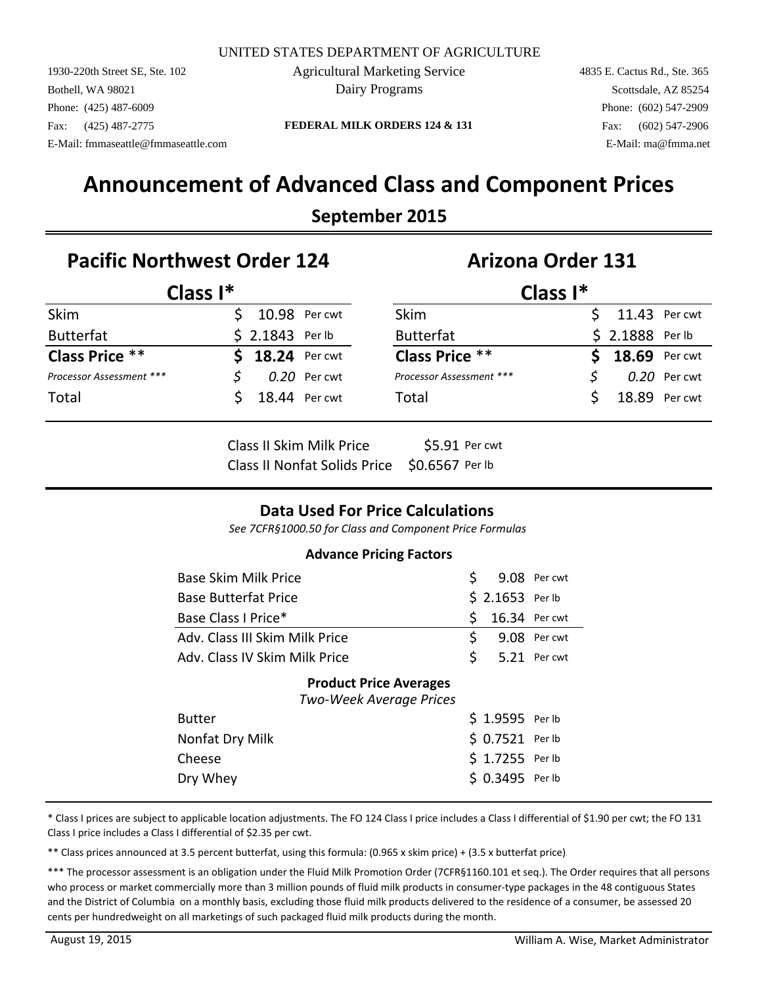1930-220th Street SE, Ste. 102 Agricultural Marketing Service 4835 E. Cactus Rd., Ste. 365 Bothell, WA 98021 **Solution Contract Contract Contract Contract Contract Contract Contract Contract Contract Contract Contract Contract Contract Contract Contract Contract Contract Contract Contract Contract Contract Contr** Phone: (425) 487-6009 Phone: (602) 547-2909 E-Mail: fmmaseattle@fmmaseattle.com E-Mail: ma@fmma.net

Fax: (425) 487-2775 **FEDERAL MILK ORDERS 124 & 131** Fax: (602) 547-2906

# **Announcement of Advanced Class and Component Prices**

#### **September 2015**

### Pacific Northwest Order 124 **Arizona Order 131**

| Class $I^*$              |                  |                | Class $I^*$              |  |                  |               |  |
|--------------------------|------------------|----------------|--------------------------|--|------------------|---------------|--|
| Skim                     | 10.98 Per cwt    |                | <b>Skim</b>              |  | $$11.43$ Per cwt |               |  |
| <b>Butterfat</b>         | $$2.1843$ Per lb |                | <b>Butterfat</b>         |  | $$2.1888$ Per lb |               |  |
| <b>Class Price **</b>    | $$18.24$ Per cwt |                | <b>Class Price **</b>    |  | $$18.69$ Per cwt |               |  |
| Processor Assessment *** |                  | $0.20$ Per cwt | Processor Assessment *** |  |                  | 0.20 Per cwt  |  |
| Total                    | 18.44 Per cwt    |                | Total                    |  |                  | 18.89 Per cwt |  |
|                          |                  |                |                          |  |                  |               |  |

Class II Skim Milk Price \$5.91 Per cwt Class II Nonfat Solids Price \$0.6567 Per lb

#### **Data Used For Price Calculations**

*See 7CFR§1000.50 for Class and Component Price Formulas*

#### **Advance Pricing Factors**

| Base Skim Milk Price                                     | S.  |                  | 9.08 Per cwt |
|----------------------------------------------------------|-----|------------------|--------------|
| <b>Base Butterfat Price</b>                              |     | $$2.1653$ Per lb |              |
| Base Class I Price*                                      | Ś   | 16.34 Per cwt    |              |
| Adv. Class III Skim Milk Price                           | \$. |                  | 9.08 Per cwt |
| Adv. Class IV Skim Milk Price                            | \$  |                  | 5.21 Per cwt |
| <b>Product Price Averages</b><br>Two-Week Average Prices |     |                  |              |
| <b>Butter</b>                                            |     | \$1.9595 Per lb  |              |
| Nonfat Dry Milk                                          |     | \$ 0.7521 Per lb |              |
| Cheese                                                   |     | \$1.7255 Per lb  |              |
| Dry Whey                                                 |     | \$ 0.3495 Perlb  |              |

\* Class I prices are subject to applicable location adjustments. The FO 124 Class I price includes a Class I differential of \$1.90 per cwt; the FO 131 Class I price includes a Class I differential of \$2.35 per cwt.

\*\* Class prices announced at 3.5 percent butterfat, using this formula: (0.965 x skim price) + (3.5 x butterfat price).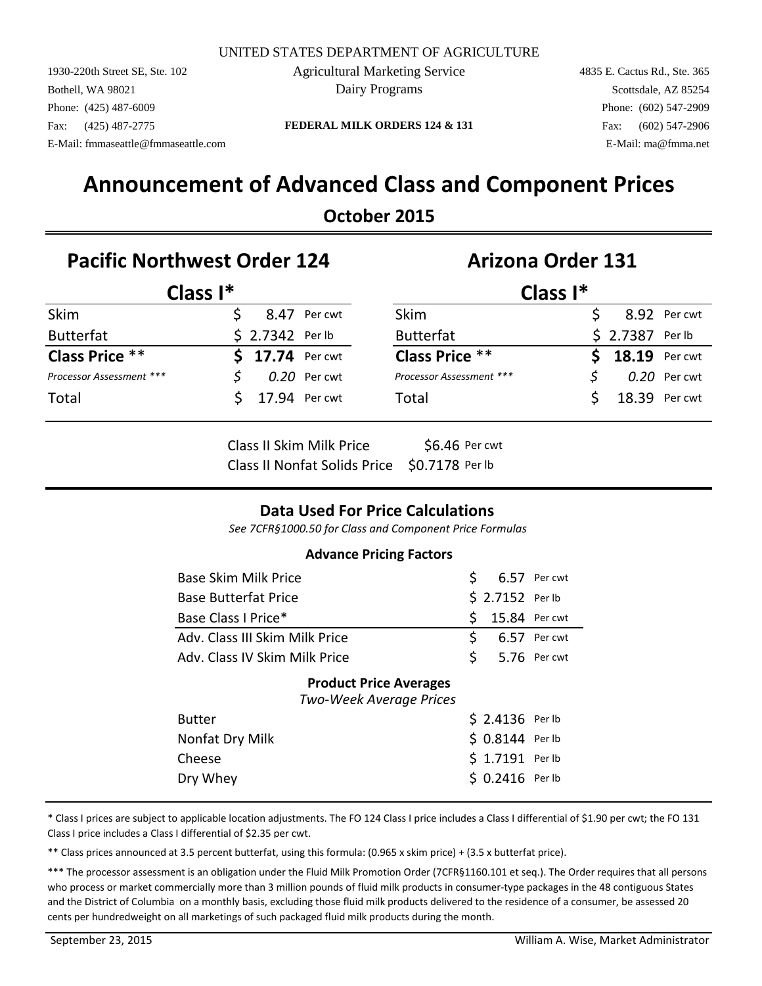1930-220th Street SE, Ste. 102 4835 E. Cactus Rd., Ste. 365 Agricultural Marketing Service Bothell, WA 98021 **Solution** Dairy Programs Scottsdale, AZ 85254 Phone: (425) 487-6009 Phone: (425) 487-2909 E-Mail: fmmaseattle@fmmaseattle.com E-Mail: ma@fmma.net

Dairy Programs

#### Fax: (425) 487-2775 **FEDERAL MILK ORDERS 124 & 131** Fax: (602) 547-2906

# **Announcement of Advanced Class and Component Prices**

### **October 2015**

### **Pacific Northwest Order 124 Arizona Order 131**

|                          | Class $I^*$ |                  |              | Class $I^*$              |  |                         |               |  |
|--------------------------|-------------|------------------|--------------|--------------------------|--|-------------------------|---------------|--|
| Skim                     |             |                  | 8.47 Per cwt | <b>Skim</b>              |  |                         | 8.92 Per cwt  |  |
| <b>Butterfat</b>         |             | $$2.7342$ Per lb |              | <b>Butterfat</b>         |  | \$ 2.7387 Per lb        |               |  |
| <b>Class Price **</b>    |             | $$17.74$ Per cwt |              | <b>Class Price **</b>    |  | <b>\$</b> 18.19 Per cwt |               |  |
| Processor Assessment *** |             |                  | 0.20 Per cwt | Processor Assessment *** |  |                         | 0.20 Per cwt  |  |
| Total                    |             | 17.94 Per cwt    |              | Total                    |  |                         | 18.39 Per cwt |  |
|                          |             |                  |              |                          |  |                         |               |  |

Class II Skim Milk Price \$6.46 Per cwt Class II Nonfat Solids Price \$0.7178 Per lb

#### **Data Used For Price Calculations**

*See 7CFR§1000.50 for Class and Component Price Formulas*

#### **Advance Pricing Factors**

| <b>Base Skim Milk Price</b>                              | S. |                  | 6.57 Per cwt |
|----------------------------------------------------------|----|------------------|--------------|
| <b>Base Butterfat Price</b>                              |    | \$ 2.7152 Per lb |              |
| Base Class I Price*                                      | \$ | 15.84 Per cwt    |              |
| Adv. Class III Skim Milk Price                           | \$ |                  | 6.57 Per cwt |
| Adv. Class IV Skim Milk Price                            | Ś. |                  | 5.76 Per cwt |
| <b>Product Price Averages</b><br>Two-Week Average Prices |    |                  |              |
| <b>Butter</b>                                            |    | $$2.4136$ Per lb |              |
| Nonfat Dry Milk                                          |    | \$ 0.8144 Per lb |              |
| Cheese                                                   |    | \$ 1.7191 Per lb |              |
| Dry Whey                                                 |    | $$0.2416$ Perlb  |              |

\* Class I prices are subject to applicable location adjustments. The FO 124 Class I price includes a Class I differential of \$1.90 per cwt; the FO 131 Class I price includes a Class I differential of \$2.35 per cwt.

\*\* Class prices announced at 3.5 percent butterfat, using this formula: (0.965 x skim price) + (3.5 x butterfat price).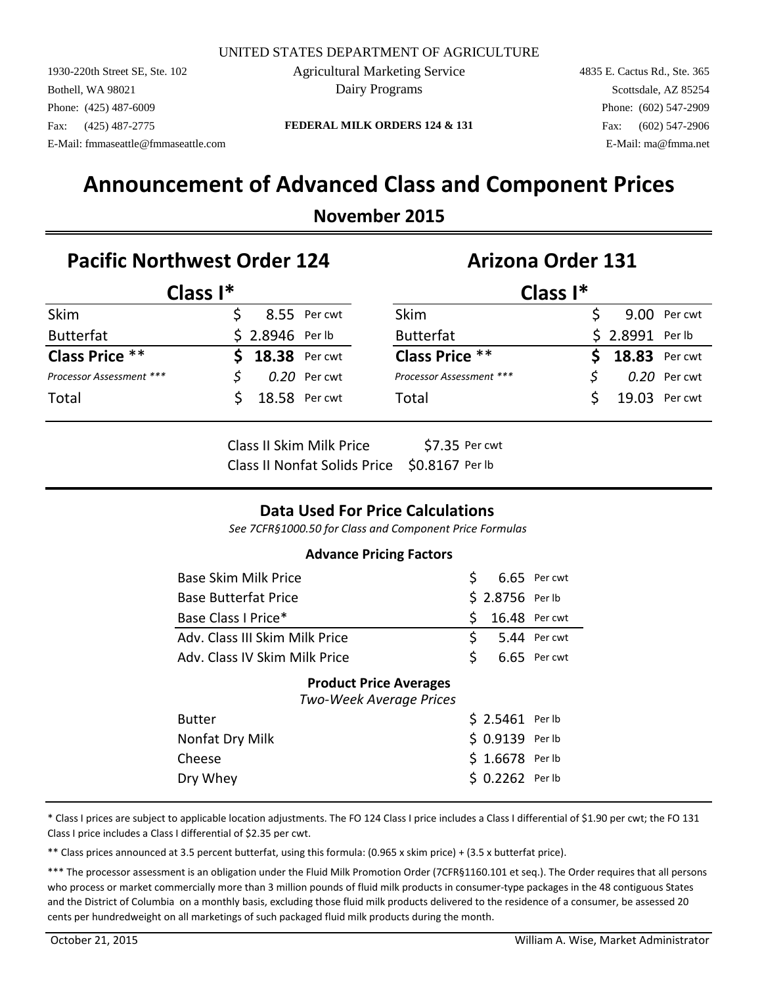1930-220th Street SE, Ste. 102 4835 E. Cactus Rd., Ste. 365 Agricultural Marketing Service Bothell, WA 98021 **Solution** Dairy Programs Scottsdale, AZ 85254 Phone: (425) 487-6009 Phone: (425) 487-2909 E-Mail: fmmaseattle@fmmaseattle.com E-Mail: ma@fmma.net

Dairy Programs

Fax: (425) 487-2775 **FEDERAL MILK ORDERS 124 & 131** Fax: (602) 547-2906

# **Announcement of Advanced Class and Component Prices**

#### **November 2015**

### **Pacific Northwest Order 124 Arizona Order 131**

| Class $I^*$              |  |                  |                | Class $I^*$              |  |                  |                |  |
|--------------------------|--|------------------|----------------|--------------------------|--|------------------|----------------|--|
| Skim                     |  |                  | 8.55 Per cwt   | <b>Skim</b>              |  |                  | 9.00 Per cwt   |  |
| <b>Butterfat</b>         |  | $$2.8946$ Perlb  |                | <b>Butterfat</b>         |  | \$ 2.8991 Per lb |                |  |
| <b>Class Price **</b>    |  | \$ 18.38 Per cwt |                | <b>Class Price **</b>    |  | \$ 18.83 Per cwt |                |  |
| Processor Assessment *** |  |                  | $0.20$ Per cwt | Processor Assessment *** |  |                  | $0.20$ Per cwt |  |
| Total                    |  |                  | 18.58 Per cwt  | Total                    |  |                  | 19.03 Per cwt  |  |
|                          |  |                  |                |                          |  |                  |                |  |

| Class II Skim Milk Price                     | \$7.35 Per cwt |
|----------------------------------------------|----------------|
| Class II Nonfat Solids Price \$0.8167 Per lb |                |

#### **Data Used For Price Calculations**

*See 7CFR§1000.50 for Class and Component Price Formulas*

#### **Advance Pricing Factors**

| Base Skim Milk Price                                     | S. |                  | 6.65 Per cwt |
|----------------------------------------------------------|----|------------------|--------------|
| <b>Base Butterfat Price</b>                              |    | \$ 2.8756 Perlb  |              |
| Base Class I Price*                                      | \$ | 16.48 Per cwt    |              |
| Adv. Class III Skim Milk Price                           | \$ |                  | 5.44 Per cwt |
| Adv. Class IV Skim Milk Price                            | Ś. |                  | 6.65 Per cwt |
| <b>Product Price Averages</b><br>Two-Week Average Prices |    |                  |              |
| <b>Butter</b>                                            |    | \$ 2.5461 Perlb  |              |
| Nonfat Dry Milk                                          |    | \$ 0.9139 Per lb |              |
| Cheese                                                   |    | $$1.6678$ Per lb |              |
| Dry Whey                                                 |    | \$ 0.2262 Perlb  |              |

\* Class I prices are subject to applicable location adjustments. The FO 124 Class I price includes a Class I differential of \$1.90 per cwt; the FO 131 Class I price includes a Class I differential of \$2.35 per cwt.

\*\* Class prices announced at 3.5 percent butterfat, using this formula: (0.965 x skim price) + (3.5 x butterfat price).